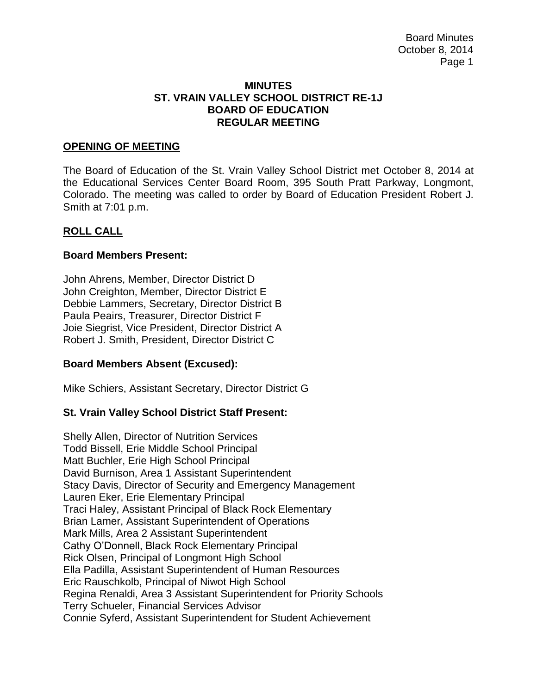Board Minutes October 8, 2014 Page 1

#### **MINUTES ST. VRAIN VALLEY SCHOOL DISTRICT RE-1J BOARD OF EDUCATION REGULAR MEETING**

### **OPENING OF MEETING**

The Board of Education of the St. Vrain Valley School District met October 8, 2014 at the Educational Services Center Board Room, 395 South Pratt Parkway, Longmont, Colorado. The meeting was called to order by Board of Education President Robert J. Smith at 7:01 p.m.

#### **ROLL CALL**

#### **Board Members Present:**

John Ahrens, Member, Director District D John Creighton, Member, Director District E Debbie Lammers, Secretary, Director District B Paula Peairs, Treasurer, Director District F Joie Siegrist, Vice President, Director District A Robert J. Smith, President, Director District C

### **Board Members Absent (Excused):**

Mike Schiers, Assistant Secretary, Director District G

### **St. Vrain Valley School District Staff Present:**

Shelly Allen, Director of Nutrition Services Todd Bissell, Erie Middle School Principal Matt Buchler, Erie High School Principal David Burnison, Area 1 Assistant Superintendent Stacy Davis, Director of Security and Emergency Management Lauren Eker, Erie Elementary Principal Traci Haley, Assistant Principal of Black Rock Elementary Brian Lamer, Assistant Superintendent of Operations Mark Mills, Area 2 Assistant Superintendent Cathy O'Donnell, Black Rock Elementary Principal Rick Olsen, Principal of Longmont High School Ella Padilla, Assistant Superintendent of Human Resources Eric Rauschkolb, Principal of Niwot High School Regina Renaldi, Area 3 Assistant Superintendent for Priority Schools Terry Schueler, Financial Services Advisor Connie Syferd, Assistant Superintendent for Student Achievement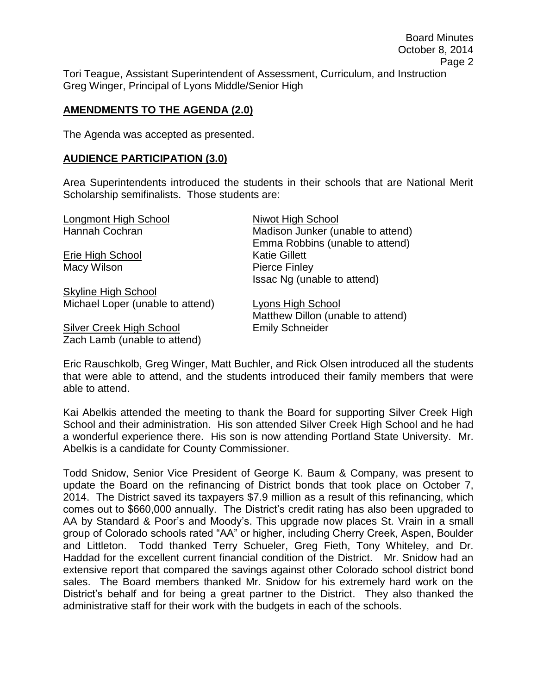Tori Teague, Assistant Superintendent of Assessment, Curriculum, and Instruction Greg Winger, Principal of Lyons Middle/Senior High

### **AMENDMENTS TO THE AGENDA (2.0)**

The Agenda was accepted as presented.

### **AUDIENCE PARTICIPATION (3.0)**

Area Superintendents introduced the students in their schools that are National Merit Scholarship semifinalists. Those students are:

| Longmont High School             | <b>Niwot High School</b>          |
|----------------------------------|-----------------------------------|
| Hannah Cochran                   | Madison Junker (unable to attend) |
|                                  | Emma Robbins (unable to attend)   |
| Erie High School                 | <b>Katie Gillett</b>              |
| Macy Wilson                      | <b>Pierce Finley</b>              |
|                                  | Issac Ng (unable to attend)       |
| <b>Skyline High School</b>       |                                   |
| Michael Loper (unable to attend) | Lyons High School                 |
|                                  | Matthew Dillon (unable to attend) |
| <b>Silver Creek High School</b>  | <b>Emily Schneider</b>            |
| Zach Lamb (unable to attend)     |                                   |

Eric Rauschkolb, Greg Winger, Matt Buchler, and Rick Olsen introduced all the students that were able to attend, and the students introduced their family members that were able to attend.

Kai Abelkis attended the meeting to thank the Board for supporting Silver Creek High School and their administration. His son attended Silver Creek High School and he had a wonderful experience there. His son is now attending Portland State University. Mr. Abelkis is a candidate for County Commissioner.

Todd Snidow, Senior Vice President of George K. Baum & Company, was present to update the Board on the refinancing of District bonds that took place on October 7, 2014. The District saved its taxpayers \$7.9 million as a result of this refinancing, which comes out to \$660,000 annually. The District's credit rating has also been upgraded to AA by Standard & Poor's and Moody's. This upgrade now places St. Vrain in a small group of Colorado schools rated "AA" or higher, including Cherry Creek, Aspen, Boulder and Littleton. Todd thanked Terry Schueler, Greg Fieth, Tony Whiteley, and Dr. Haddad for the excellent current financial condition of the District. Mr. Snidow had an extensive report that compared the savings against other Colorado school district bond sales. The Board members thanked Mr. Snidow for his extremely hard work on the District's behalf and for being a great partner to the District. They also thanked the administrative staff for their work with the budgets in each of the schools.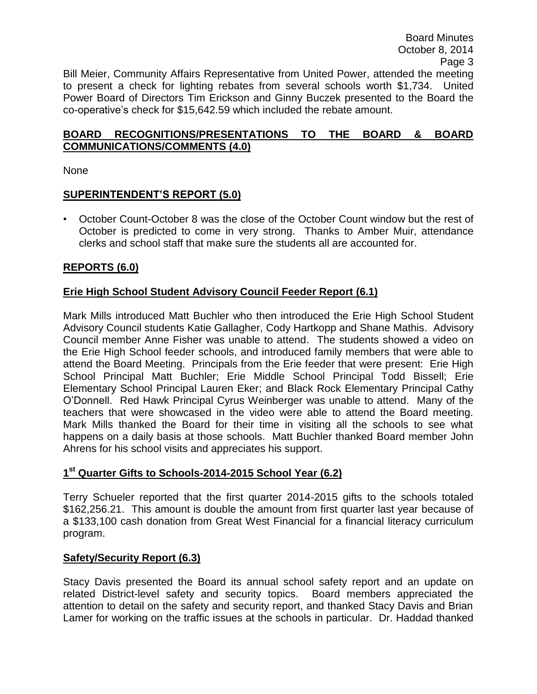October 8, 2014 Page 3 Bill Meier, Community Affairs Representative from United Power, attended the meeting to present a check for lighting rebates from several schools worth \$1,734. United Power Board of Directors Tim Erickson and Ginny Buczek presented to the Board the co-operative's check for \$15,642.59 which included the rebate amount.

Board Minutes

### **BOARD RECOGNITIONS/PRESENTATIONS TO THE BOARD & BOARD COMMUNICATIONS/COMMENTS (4.0)**

None

### **SUPERINTENDENT'S REPORT (5.0)**

• October Count-October 8 was the close of the October Count window but the rest of October is predicted to come in very strong. Thanks to Amber Muir, attendance clerks and school staff that make sure the students all are accounted for.

# **REPORTS (6.0)**

# **Erie High School Student Advisory Council Feeder Report (6.1)**

Mark Mills introduced Matt Buchler who then introduced the Erie High School Student Advisory Council students Katie Gallagher, Cody Hartkopp and Shane Mathis. Advisory Council member Anne Fisher was unable to attend. The students showed a video on the Erie High School feeder schools, and introduced family members that were able to attend the Board Meeting. Principals from the Erie feeder that were present: Erie High School Principal Matt Buchler; Erie Middle School Principal Todd Bissell; Erie Elementary School Principal Lauren Eker; and Black Rock Elementary Principal Cathy O'Donnell. Red Hawk Principal Cyrus Weinberger was unable to attend. Many of the teachers that were showcased in the video were able to attend the Board meeting. Mark Mills thanked the Board for their time in visiting all the schools to see what happens on a daily basis at those schools. Matt Buchler thanked Board member John Ahrens for his school visits and appreciates his support.

# **1 st Quarter Gifts to Schools-2014-2015 School Year (6.2)**

Terry Schueler reported that the first quarter 2014-2015 gifts to the schools totaled \$162,256.21. This amount is double the amount from first quarter last year because of a \$133,100 cash donation from Great West Financial for a financial literacy curriculum program.

### **Safety/Security Report (6.3)**

Stacy Davis presented the Board its annual school safety report and an update on related District-level safety and security topics. Board members appreciated the attention to detail on the safety and security report, and thanked Stacy Davis and Brian Lamer for working on the traffic issues at the schools in particular. Dr. Haddad thanked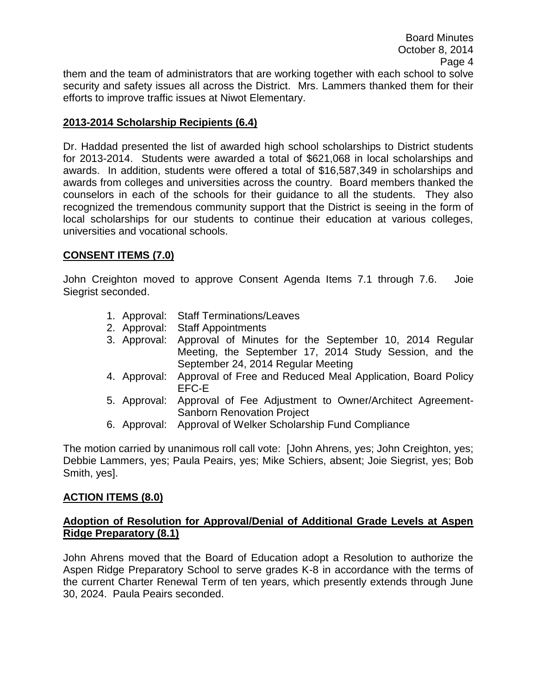efforts to improve traffic issues at Niwot Elementary.

# **2013-2014 Scholarship Recipients (6.4)**

Dr. Haddad presented the list of awarded high school scholarships to District students for 2013-2014. Students were awarded a total of \$621,068 in local scholarships and awards. In addition, students were offered a total of \$16,587,349 in scholarships and awards from colleges and universities across the country. Board members thanked the counselors in each of the schools for their guidance to all the students. They also recognized the tremendous community support that the District is seeing in the form of local scholarships for our students to continue their education at various colleges, universities and vocational schools.

# **CONSENT ITEMS (7.0)**

John Creighton moved to approve Consent Agenda Items 7.1 through 7.6. Joie Siegrist seconded.

- 1. Approval: Staff Terminations/Leaves
- 2. Approval: Staff Appointments
- 3. Approval: Approval of Minutes for the September 10, 2014 Regular Meeting, the September 17, 2014 Study Session, and the September 24, 2014 Regular Meeting
- 4. Approval: Approval of Free and Reduced Meal Application, Board Policy EFC-E
- 5. Approval: Approval of Fee Adjustment to Owner/Architect Agreement-Sanborn Renovation Project
- 6. Approval: Approval of Welker Scholarship Fund Compliance

The motion carried by unanimous roll call vote: [John Ahrens, yes; John Creighton, yes; Debbie Lammers, yes; Paula Peairs, yes; Mike Schiers, absent; Joie Siegrist, yes; Bob Smith, yes].

# **ACTION ITEMS (8.0)**

# **Adoption of Resolution for Approval/Denial of Additional Grade Levels at Aspen Ridge Preparatory (8.1)**

John Ahrens moved that the Board of Education adopt a Resolution to authorize the Aspen Ridge Preparatory School to serve grades K-8 in accordance with the terms of the current Charter Renewal Term of ten years, which presently extends through June 30, 2024. Paula Peairs seconded.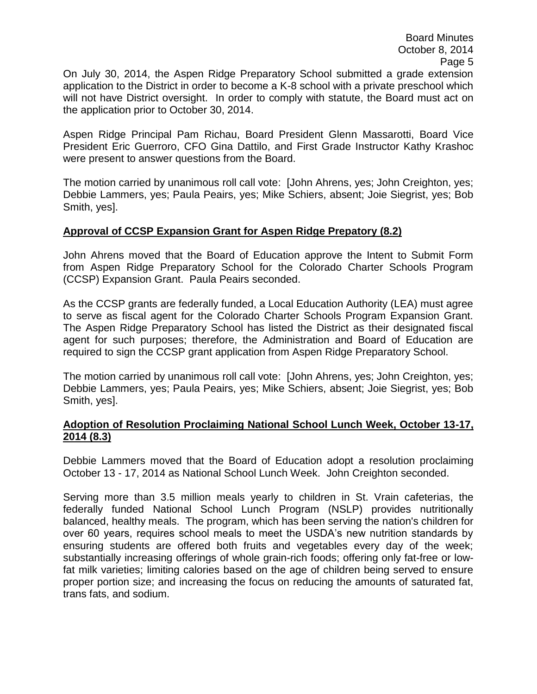On July 30, 2014, the Aspen Ridge Preparatory School submitted a grade extension application to the District in order to become a K-8 school with a private preschool which will not have District oversight. In order to comply with statute, the Board must act on the application prior to October 30, 2014.

Aspen Ridge Principal Pam Richau, Board President Glenn Massarotti, Board Vice President Eric Guerroro, CFO Gina Dattilo, and First Grade Instructor Kathy Krashoc were present to answer questions from the Board.

The motion carried by unanimous roll call vote: [John Ahrens, yes; John Creighton, yes; Debbie Lammers, yes; Paula Peairs, yes; Mike Schiers, absent; Joie Siegrist, yes; Bob Smith, yes].

### **Approval of CCSP Expansion Grant for Aspen Ridge Prepatory (8.2)**

John Ahrens moved that the Board of Education approve the Intent to Submit Form from Aspen Ridge Preparatory School for the Colorado Charter Schools Program (CCSP) Expansion Grant. Paula Peairs seconded.

As the CCSP grants are federally funded, a Local Education Authority (LEA) must agree to serve as fiscal agent for the Colorado Charter Schools Program Expansion Grant. The Aspen Ridge Preparatory School has listed the District as their designated fiscal agent for such purposes; therefore, the Administration and Board of Education are required to sign the CCSP grant application from Aspen Ridge Preparatory School.

The motion carried by unanimous roll call vote: [John Ahrens, yes; John Creighton, yes; Debbie Lammers, yes; Paula Peairs, yes; Mike Schiers, absent; Joie Siegrist, yes; Bob Smith, yes].

### **Adoption of Resolution Proclaiming National School Lunch Week, October 13-17, 2014 (8.3)**

Debbie Lammers moved that the Board of Education adopt a resolution proclaiming October 13 - 17, 2014 as National School Lunch Week. John Creighton seconded.

Serving more than 3.5 million meals yearly to children in St. Vrain cafeterias, the federally funded National School Lunch Program (NSLP) provides nutritionally balanced, healthy meals. The program, which has been serving the nation's children for over 60 years, requires school meals to meet the USDA's new nutrition standards by ensuring students are offered both fruits and vegetables every day of the week; substantially increasing offerings of whole grain-rich foods; offering only fat-free or lowfat milk varieties; limiting calories based on the age of children being served to ensure proper portion size; and increasing the focus on reducing the amounts of saturated fat, trans fats, and sodium.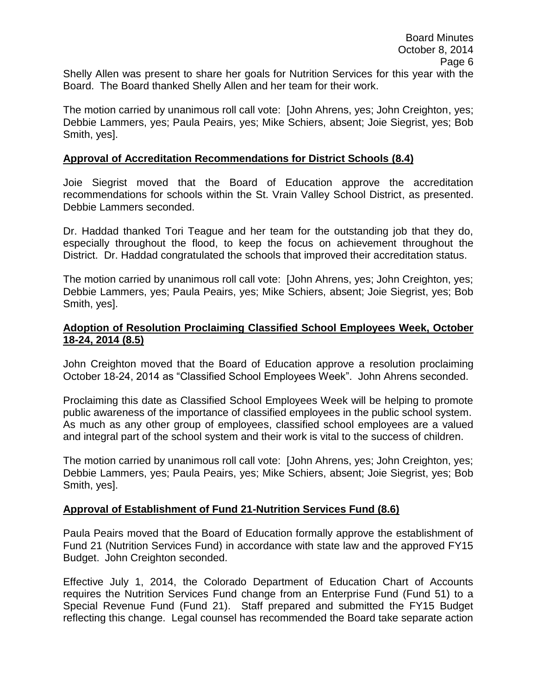Shelly Allen was present to share her goals for Nutrition Services for this year with the Board. The Board thanked Shelly Allen and her team for their work.

The motion carried by unanimous roll call vote: [John Ahrens, yes; John Creighton, yes; Debbie Lammers, yes; Paula Peairs, yes; Mike Schiers, absent; Joie Siegrist, yes; Bob Smith, yes].

### **Approval of Accreditation Recommendations for District Schools (8.4)**

Joie Siegrist moved that the Board of Education approve the accreditation recommendations for schools within the St. Vrain Valley School District, as presented. Debbie Lammers seconded.

Dr. Haddad thanked Tori Teague and her team for the outstanding job that they do, especially throughout the flood, to keep the focus on achievement throughout the District. Dr. Haddad congratulated the schools that improved their accreditation status.

The motion carried by unanimous roll call vote: [John Ahrens, yes; John Creighton, yes; Debbie Lammers, yes; Paula Peairs, yes; Mike Schiers, absent; Joie Siegrist, yes; Bob Smith, yes].

### **Adoption of Resolution Proclaiming Classified School Employees Week, October 18-24, 2014 (8.5)**

John Creighton moved that the Board of Education approve a resolution proclaiming October 18-24, 2014 as "Classified School Employees Week". John Ahrens seconded.

Proclaiming this date as Classified School Employees Week will be helping to promote public awareness of the importance of classified employees in the public school system. As much as any other group of employees, classified school employees are a valued and integral part of the school system and their work is vital to the success of children.

The motion carried by unanimous roll call vote: [John Ahrens, yes; John Creighton, yes; Debbie Lammers, yes; Paula Peairs, yes; Mike Schiers, absent; Joie Siegrist, yes; Bob Smith, yes].

### **Approval of Establishment of Fund 21-Nutrition Services Fund (8.6)**

Paula Peairs moved that the Board of Education formally approve the establishment of Fund 21 (Nutrition Services Fund) in accordance with state law and the approved FY15 Budget. John Creighton seconded.

Effective July 1, 2014, the Colorado Department of Education Chart of Accounts requires the Nutrition Services Fund change from an Enterprise Fund (Fund 51) to a Special Revenue Fund (Fund 21). Staff prepared and submitted the FY15 Budget reflecting this change. Legal counsel has recommended the Board take separate action